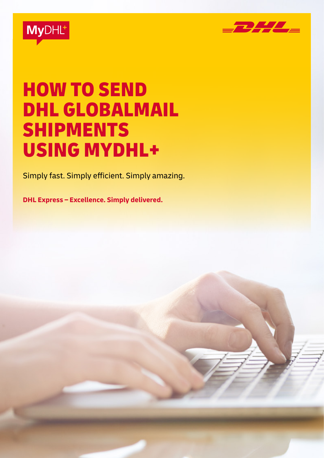



## HOW TO SEND DHL GLOBALMAIL SHIPMENTS USING MYDHL+

Simply fast. Simply efficient. Simply amazing.

**DHL Express – Excellence. Simply delivered.**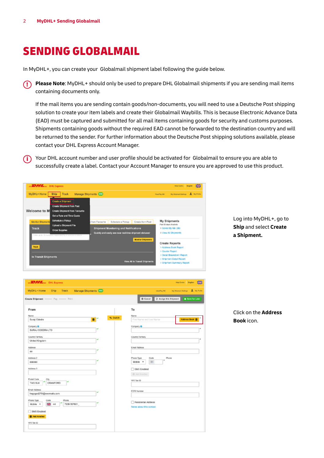## SENDING GLOBALMAIL

In MyDHL+, you can create your Globalmail shipment label following the guide below.

**Please Note**: MyDHL+ should only be used to prepare DHL Globalmail shipments if you are sending mail items containing documents only.  $\left( \Gamma \right)$ 

If the mail items you are sending contain goods/non-documents, you will need to use a Deutsche Post shipping solution to create your item labels and create their Globalmail Waybills. This is because Electronic Advance Data (EAD) must be captured and submitted for all mail items containing goods for security and customs purposes. Shipments containing goods without the required EAD cannot be forwarded to the destination country and will be returned to the sender. For further information about the Deutsche Post shipping solutions available, please contact your DHL Express Account Manager.

Your DHL account number and user profile should be activated for Globalmail to ensure you are able to i successfully create a label. Contact your Account Manager to ensure you are approved to use this product.



Log into MyDHL+, go to **Ship** and select **Create a Shipment.**

| <b>DML</b> DHL Express                                       | this Control Branch 1979                                         |
|--------------------------------------------------------------|------------------------------------------------------------------|
| Manage Shipments (59)<br>MyDHL* Home<br><b>Ship</b><br>Track | by Norman Settings 1 2 100 Profile<br>ViewPay Rd                 |
| Create Shipment - Pay - Print                                | Dr Assign this Shipment<br><b>M</b> Seve for Later<br>O Cancel   |
| From                                                         | To                                                               |
| Name                                                         | Marrie                                                           |
| $\blacksquare$<br>Suraji Odedra                              | % Switch<br>Address Book <b>[3</b> ]<br>First Name and Lest Name |
| Company O                                                    | Company O                                                        |
| SURAJ CCEDRA LTD                                             |                                                                  |
|                                                              |                                                                  |
| Country/Territory<br>United Kingdom                          | Country/lemtory                                                  |
|                                                              |                                                                  |
| Address                                                      | Email Address                                                    |
| 46                                                           |                                                                  |
| Address 2                                                    | Phone Type<br>Code<br>Phone<br>٠                                 |
| 000303                                                       | 2 <br>Mobile .                                                   |
| Address 3                                                    | SMS Enabled                                                      |
|                                                              | El Add Another                                                   |
| <b>Postal Code</b>                                           |                                                                  |
| City<br><b>CRANFORD</b><br>TWS SEW                           | <b>WAT/Tax ID</b>                                                |
|                                                              |                                                                  |
| Email Address                                                | EDRI Number                                                      |
| hegogad270@wwmails.com                                       |                                                                  |
| Priono Typo<br>Phone<br>Códa                                 | Residental Address                                               |
| 图 44<br>7939 557601<br>Mcbile .                              | Netes about this contact                                         |
| SMS Enabled                                                  |                                                                  |
| <b>D</b> Add Anather                                         |                                                                  |
|                                                              |                                                                  |
| <b>WAT/Tax ID</b>                                            |                                                                  |

Click on the **Address Book** icon.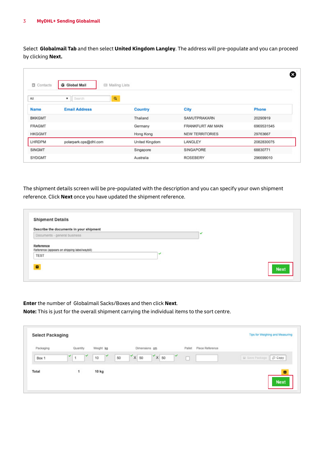Select **Globalmail Tab** and then select **United Kingdom Langley**. The address will pre-populate and you can proceed by clicking **Next.**

| <b>El</b> Contacts | <b>Global Mail</b><br><b>EB</b> Mailing Lists<br>$\infty$ |                |                        | ೞ          |
|--------------------|-----------------------------------------------------------|----------------|------------------------|------------|
| All                | Q<br>$\bullet$ Search                                     |                |                        |            |
| <b>Name</b>        | <b>Email Address</b>                                      | Country        | City                   | Phone      |
| <b>BKKGMT</b>      |                                                           | Thailand       | SAMUTPRAKARN           | 20290919   |
| <b>FRAGMT</b>      |                                                           | Germany        | FRANKFURT AM MAIN      | 6969531545 |
| <b>HKGGMT</b>      |                                                           | Hong Kong      | <b>NEW TERRITORIES</b> | 29763667   |
| LHRDPM             | polarpark.ops@dhl.com                                     | United Kingdom | LANGLEY                | 2082830075 |
| <b>SINGMT</b>      |                                                           | Singapore      | SINGAPORE              | 68830771   |
| <b>SYDGMT</b>      |                                                           | Australia      | <b>ROSEBERY</b>        | 296699010  |

The shipment details screen will be pre-populated with the description and you can specify your own shipment reference. Click **Next** once you have updated the shipment reference.

| Describe the documents in your shipment       |   |  |
|-----------------------------------------------|---|--|
| Documents - general business                  | v |  |
| Reference                                     |   |  |
| Reference (appears on shipping label/waybill) |   |  |
|                                               |   |  |
| <b>TEST</b>                                   |   |  |
| $\blacksquare$                                |   |  |

**Enter** the number of Globalmail Sacks/Boxes and then click **Next**.

**Note:** This is just for the overall shipment carrying the individual items to the sort centre.

| Piece Reference<br>Pallet<br>El Save Package |
|----------------------------------------------|
|                                              |
| $\Box$<br>$O$ Copy                           |
| ۰                                            |
|                                              |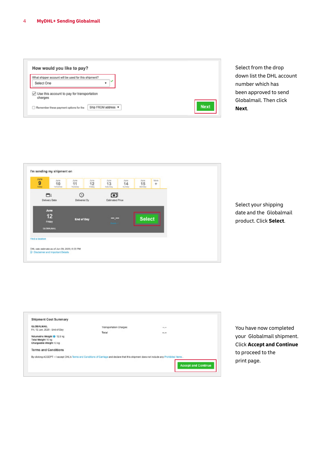| What shipper account will be used for this shipment?  |  |  |
|-------------------------------------------------------|--|--|
| Select One                                            |  |  |
|                                                       |  |  |
| Use this account to pay for transportation<br>charges |  |  |
|                                                       |  |  |

Select from the drop down list the DHL account number which has been approved to send Globalmail. Then click **Next**.

| 9  | June<br>10<br>Tomamow                    | June<br>11<br>Thursday | June<br>12<br>Friday | June<br>13<br>Saturday                     | June<br>14<br>Sunday | June<br>15<br>Monday | More<br>÷ |  |
|----|------------------------------------------|------------------------|----------------------|--------------------------------------------|----------------------|----------------------|-----------|--|
| OI | Delivery Date                            | ര<br>Delivered By      |                      | $\overline{\mathbf{o}}$<br>Estimated Price |                      |                      |           |  |
|    | June<br>12<br>Friday<br><b>GLOBALMAL</b> | <b>End of Day</b>      |                      | --<br>Details in                           |                      | <b>Select</b>        |           |  |

Select your shipping date and the Globalmail product. Click **Select**.

| <b>GLOBALMAIL</b>                                                            | Transportation Charges:                                                                                                                    | 11,100                     |
|------------------------------------------------------------------------------|--------------------------------------------------------------------------------------------------------------------------------------------|----------------------------|
| Fri, 12 Jun, 2020 - End of Day                                               | Total                                                                                                                                      | 10,00                      |
| Volumetric Weight @ 12.5 kg<br>Tetal Weight 10 kg<br>Chargeable Weight 10 kg |                                                                                                                                            |                            |
| <b>Terms and Conditions</b>                                                  |                                                                                                                                            |                            |
|                                                                              | By clicking ACCEPT - I accept DHL's Terms and Conditions of Carriage and declare that this shipment does not include any Prohibited Items. |                            |
|                                                                              |                                                                                                                                            | <b>Accept and Continue</b> |

You have now completed your Globalmail shipment. Click **Accept and Continue**  to proceed to the print page.